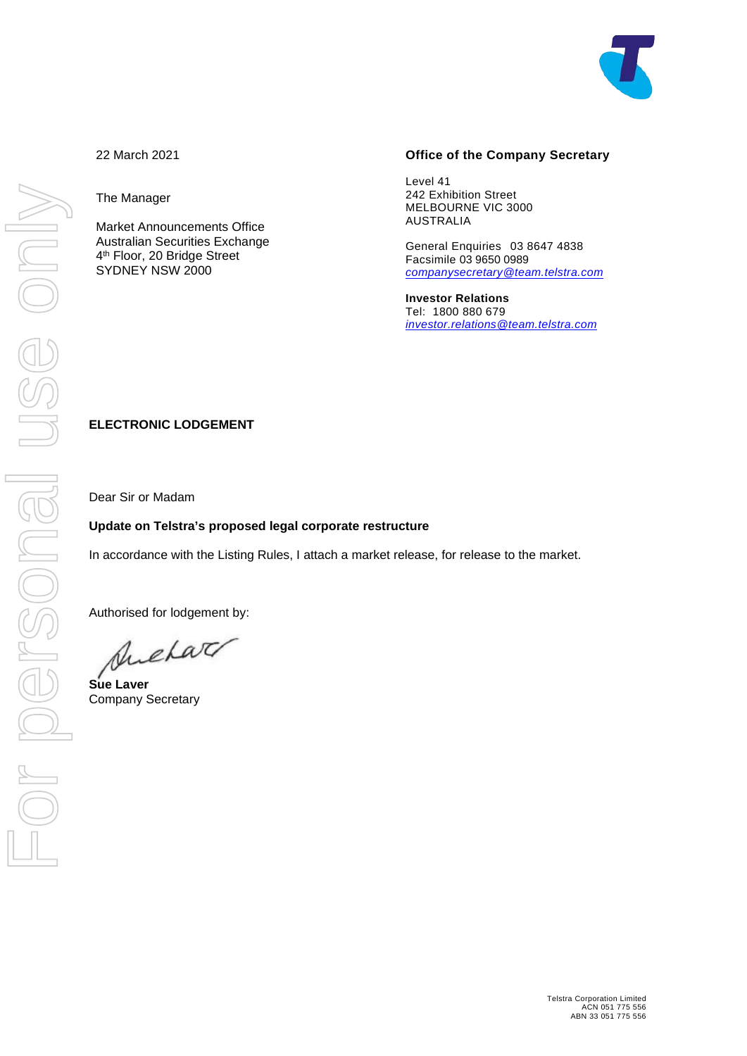

The Manager

Market Announcements Office Australian Securities Exchange 4th Floor, 20 Bridge Street SYDNEY NSW 2000

#### **Office of the Company Secretary**

Level 41 242 Exhibition Street MELBOURNE VIC 3000 AUSTRALIA

General Enquiries 03 8647 4838 Facsimile 03 9650 0989 *[companysecretary@team.telstra.com](mailto:companysecretary@team.telstra.com)*

**Investor Relations** Tel: 1800 880 679 *[investor.relations@team.telstra.com](mailto:!%20Investor%20Relations%20%3cinvestor.relations@team.telstra.com%3e)*

### **ELECTRONIC LODGEMENT**

Dear Sir or Madam

### **Update on Telstra's proposed legal corporate restructure**

In accordance with the Listing Rules, I attach a market release, for release to the market.

Authorised for lodgement by:

Suchar

**Sue Laver** Company Secretary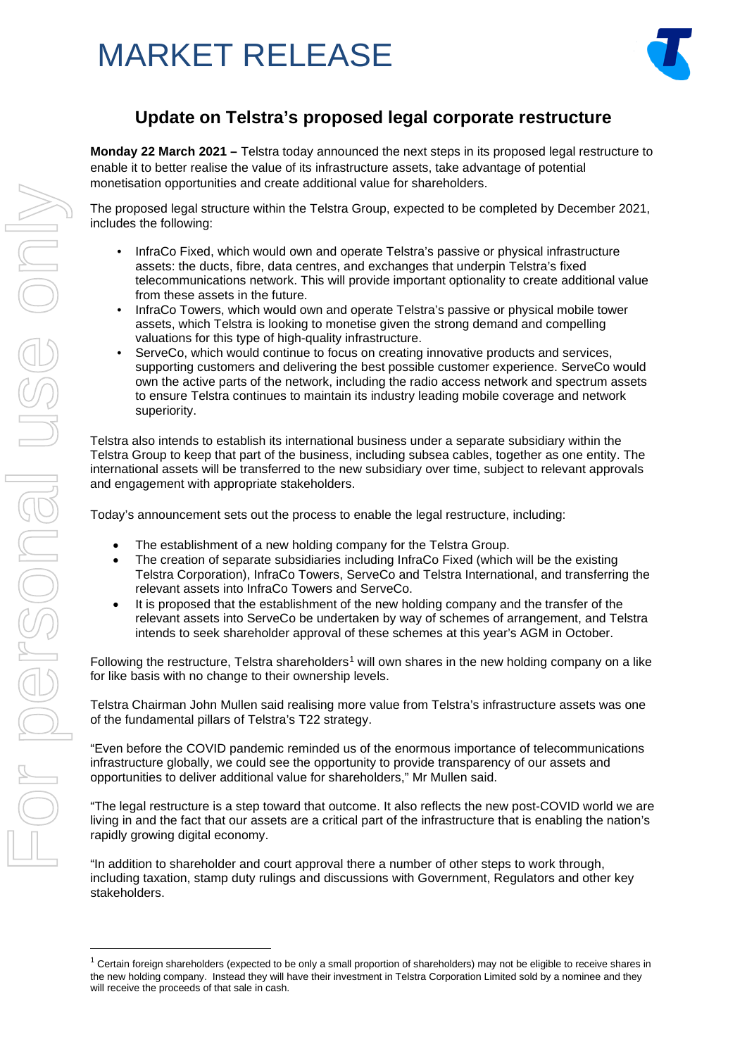## MARKET RELEASE



## **Update on Telstra's proposed legal corporate restructure**

**Monday 22 March 2021 –** Telstra today announced the next steps in its proposed legal restructure to enable it to better realise the value of its infrastructure assets, take advantage of potential monetisation opportunities and create additional value for shareholders.

The proposed legal structure within the Telstra Group, expected to be completed by December 2021, includes the following:

- InfraCo Fixed, which would own and operate Telstra's passive or physical infrastructure assets: the ducts, fibre, data centres, and exchanges that underpin Telstra's fixed telecommunications network. This will provide important optionality to create additional value from these assets in the future.
- InfraCo Towers, which would own and operate Telstra's passive or physical mobile tower assets, which Telstra is looking to monetise given the strong demand and compelling valuations for this type of high-quality infrastructure.
- ServeCo, which would continue to focus on creating innovative products and services, supporting customers and delivering the best possible customer experience. ServeCo would own the active parts of the network, including the radio access network and spectrum assets to ensure Telstra continues to maintain its industry leading mobile coverage and network superiority.

Telstra also intends to establish its international business under a separate subsidiary within the Telstra Group to keep that part of the business, including subsea cables, together as one entity. The international assets will be transferred to the new subsidiary over time, subject to relevant approvals and engagement with appropriate stakeholders.

Today's announcement sets out the process to enable the legal restructure, including:

- The establishment of a new holding company for the Telstra Group.
- The creation of separate subsidiaries including InfraCo Fixed (which will be the existing Telstra Corporation), InfraCo Towers, ServeCo and Telstra International, and transferring the relevant assets into InfraCo Towers and ServeCo.
- It is proposed that the establishment of the new holding company and the transfer of the relevant assets into ServeCo be undertaken by way of schemes of arrangement, and Telstra intends to seek shareholder approval of these schemes at this year's AGM in October.

Following the restructure, Telstra shareholders<sup>[1](#page-1-0)</sup> will own shares in the new holding company on a like for like basis with no change to their ownership levels.

Telstra Chairman John Mullen said realising more value from Telstra's infrastructure assets was one of the fundamental pillars of Telstra's T22 strategy.

"Even before the COVID pandemic reminded us of the enormous importance of telecommunications infrastructure globally, we could see the opportunity to provide transparency of our assets and opportunities to deliver additional value for shareholders," Mr Mullen said.

"The legal restructure is a step toward that outcome. It also reflects the new post-COVID world we are living in and the fact that our assets are a critical part of the infrastructure that is enabling the nation's rapidly growing digital economy.

"In addition to shareholder and court approval there a number of other steps to work through, including taxation, stamp duty rulings and discussions with Government, Regulators and other key stakeholders.

<span id="page-1-0"></span> $1$  Certain foreign shareholders (expected to be only a small proportion of shareholders) may not be eligible to receive shares in the new holding company. Instead they will have their investment in Telstra Corporation Limited sold by a nominee and they will receive the proceeds of that sale in cash.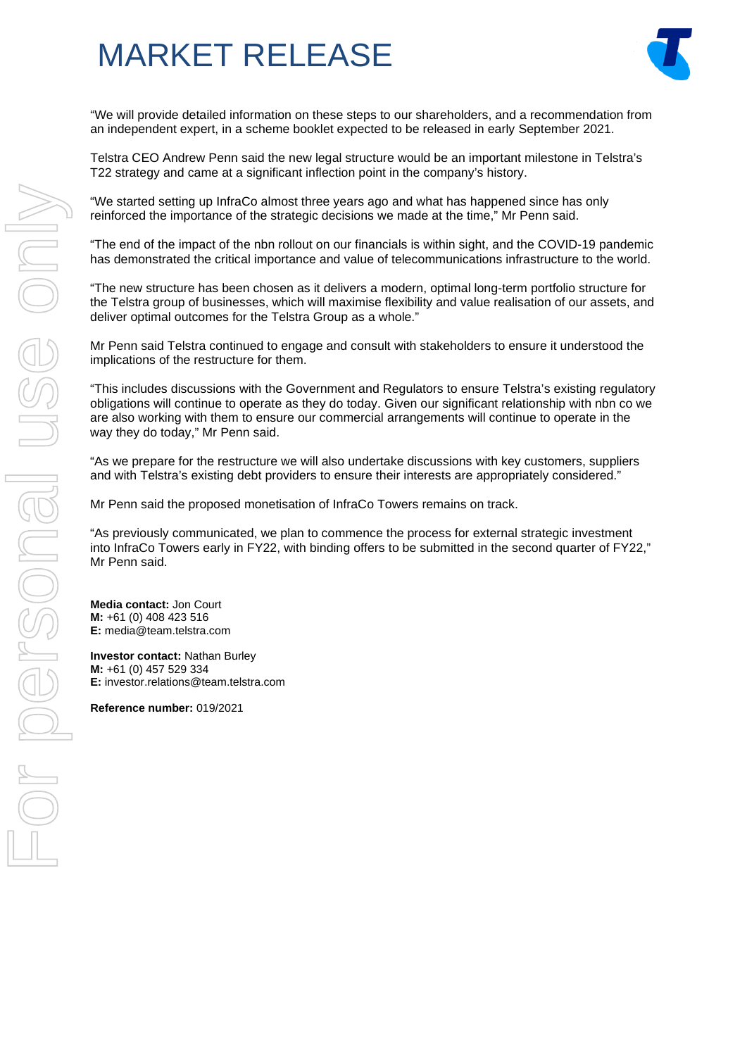## MARKET RELEASE



"We will provide detailed information on these steps to our shareholders, and a recommendation from an independent expert, in a scheme booklet expected to be released in early September 2021.

Telstra CEO Andrew Penn said the new legal structure would be an important milestone in Telstra's T22 strategy and came at a significant inflection point in the company's history.

"We started setting up InfraCo almost three years ago and what has happened since has only reinforced the importance of the strategic decisions we made at the time," Mr Penn said.

"The end of the impact of the nbn rollout on our financials is within sight, and the COVID-19 pandemic has demonstrated the critical importance and value of telecommunications infrastructure to the world.

"The new structure has been chosen as it delivers a modern, optimal long-term portfolio structure for the Telstra group of businesses, which will maximise flexibility and value realisation of our assets, and deliver optimal outcomes for the Telstra Group as a whole."

Mr Penn said Telstra continued to engage and consult with stakeholders to ensure it understood the implications of the restructure for them.

"This includes discussions with the Government and Regulators to ensure Telstra's existing regulatory obligations will continue to operate as they do today. Given our significant relationship with nbn co we are also working with them to ensure our commercial arrangements will continue to operate in the way they do today," Mr Penn said.

"As we prepare for the restructure we will also undertake discussions with key customers, suppliers and with Telstra's existing debt providers to ensure their interests are appropriately considered."

Mr Penn said the proposed monetisation of InfraCo Towers remains on track.

"As previously communicated, we plan to commence the process for external strategic investment into InfraCo Towers early in FY22, with binding offers to be submitted in the second quarter of FY22," Mr Penn said.

**Media contact:** Jon Court **M:** +61 (0) 408 423 516 **E:** media@team.telstra.com

**Investor contact:** Nathan Burley **M:** +61 (0) 457 529 334 **E:** investor.relations@team.telstra.com

**Reference number:** 019/2021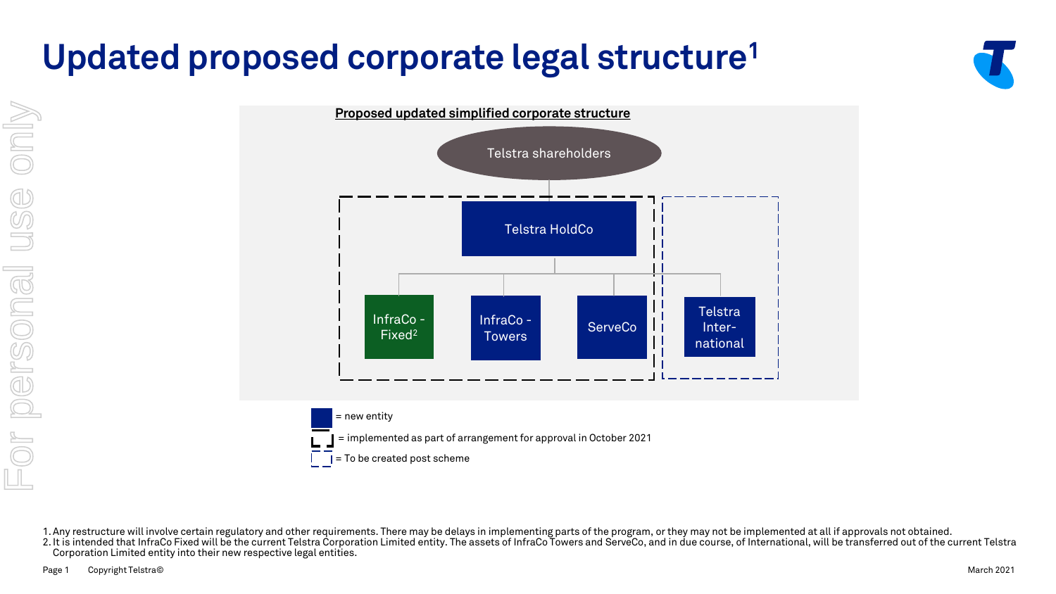# **Updated proposed corporate legal structure1**







1.Any restructure will involve certain regulatory and other requirements. There may be delays in implementing parts of the program, or they may not be implemented at all if approvals not obtained.

2. It is intended that InfraCo Fixed will be the current Telstra Corporation Limited entity. The assets of InfraCo Towers and ServeCo, and in due course, of International, will be transferred out of the current Telstra Corporation Limited entity into their new respective legal entities.